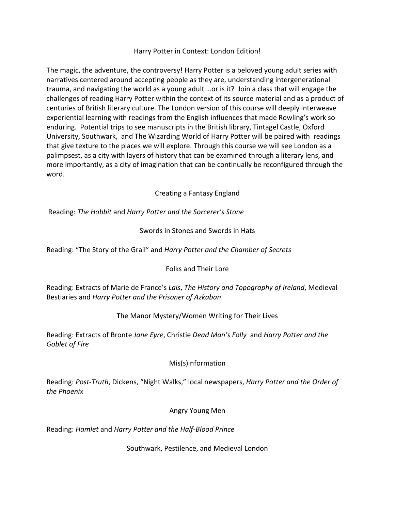## Harry Potter in Context: London Edition!

The magic, the adventure, the controversy! Harry Potter is a beloved young adult series with narratives centered around accepting people as they are, understanding intergenerational trauma, and navigating the world as a young adult …or is it? Join a class that will engage the challenges of reading Harry Potter within the context of its source material and as a product of centuries of British literary culture. The London version of this course will deeply interweave experiential learning with readings from the English influences that made Rowling's work so enduring. Potential trips to see manuscripts in the British library, Tintagel Castle, Oxford University, Southwark, and The Wizarding World of Harry Potter will be paired with readings that give texture to the places we will explore. Through this course we will see London as a palimpsest, as a city with layers of history that can be examined through a literary lens, and more importantly, as a city of imagination that can be continually be reconfigured through the word.

## Creating a Fantasy England

Reading: *The Hobbit* and *Harry Potter and the Sorcerer's Stone*

## Swords in Stones and Swords in Hats

Reading: "The Story of the Grail" and *Harry Potter and the Chamber of Secrets*

#### Folks and Their Lore

Reading: Extracts of Marie de France's *Lais*, *The History and Topography of Ireland*, Medieval Bestiaries and *Harry Potter and the Prisoner of Azkaban*

# The Manor Mystery/Women Writing for Their Lives

Reading: Extracts of Bronte *Jane Eyre*, Christie *Dead Man's Folly* and *Harry Potter and the Goblet of Fire*

#### Mis(s)information

Reading: *Post-Truth*, Dickens, "Night Walks," local newspapers, *Harry Potter and the Order of the Phoenix*

#### Angry Young Men

Reading: *Hamlet* and *Harry Potter and the Half-Blood Prince*

Southwark, Pestilence, and Medieval London